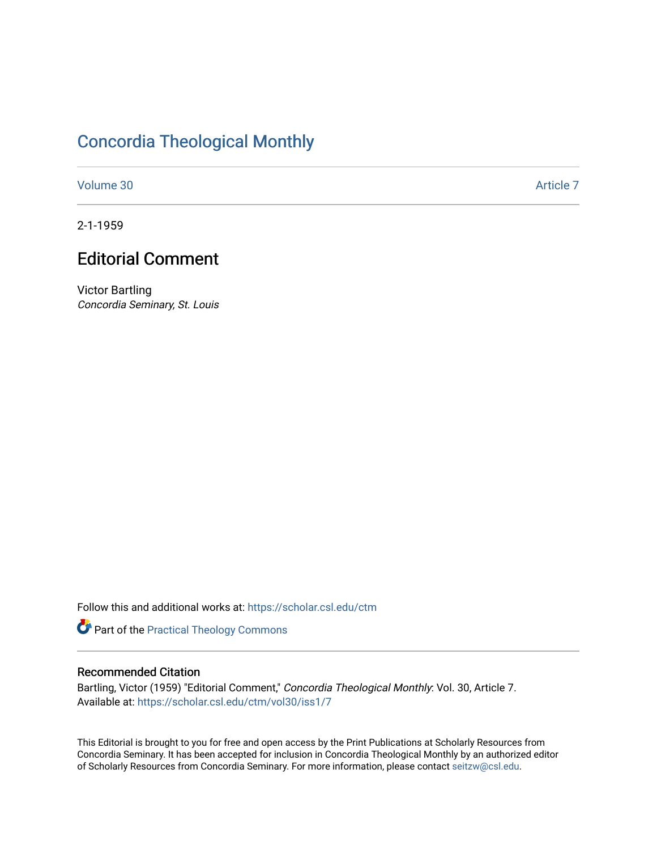### [Concordia Theological Monthly](https://scholar.csl.edu/ctm)

[Volume 30](https://scholar.csl.edu/ctm/vol30) Article 7

2-1-1959

## Editorial Comment

Victor Bartling Concordia Seminary, St. Louis

Follow this and additional works at: [https://scholar.csl.edu/ctm](https://scholar.csl.edu/ctm?utm_source=scholar.csl.edu%2Fctm%2Fvol30%2Fiss1%2F7&utm_medium=PDF&utm_campaign=PDFCoverPages)

Part of the [Practical Theology Commons](http://network.bepress.com/hgg/discipline/1186?utm_source=scholar.csl.edu%2Fctm%2Fvol30%2Fiss1%2F7&utm_medium=PDF&utm_campaign=PDFCoverPages)

#### Recommended Citation

Bartling, Victor (1959) "Editorial Comment," Concordia Theological Monthly: Vol. 30, Article 7. Available at: [https://scholar.csl.edu/ctm/vol30/iss1/7](https://scholar.csl.edu/ctm/vol30/iss1/7?utm_source=scholar.csl.edu%2Fctm%2Fvol30%2Fiss1%2F7&utm_medium=PDF&utm_campaign=PDFCoverPages)

This Editorial is brought to you for free and open access by the Print Publications at Scholarly Resources from Concordia Seminary. It has been accepted for inclusion in Concordia Theological Monthly by an authorized editor of Scholarly Resources from Concordia Seminary. For more information, please contact [seitzw@csl.edu](mailto:seitzw@csl.edu).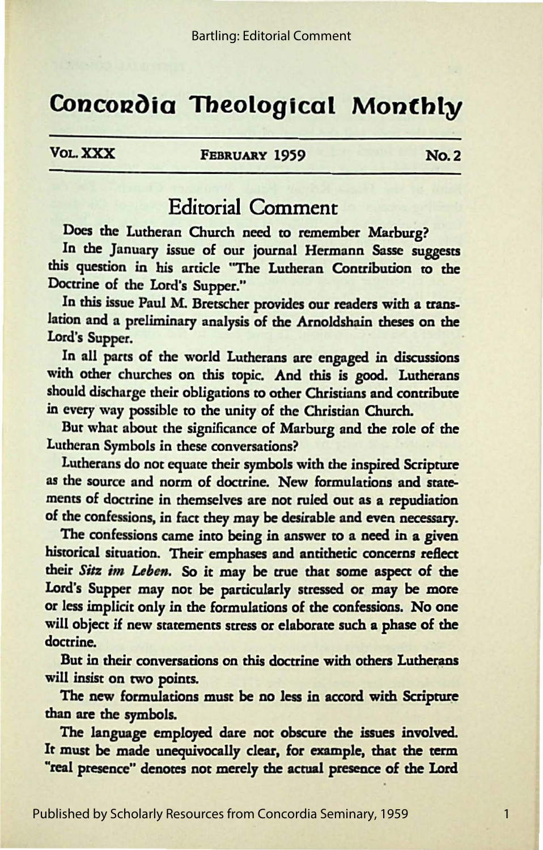# Concordia Theological Monthly

**VOL. XXX FEBRUARY 1959 NO. 2** 

1

#### Editorial Comment

Does the Lutheran Church need to remember Marburg?

In the January issue of our journal Hermann Sasse suggests this question in his article "The Lutheran Contribution to the Doctrine of the Lord's Supper."

In this issue Paul M. Bretscher provides our readers with a translation and a preliminary analysis of the Arnoldshain theses on the lord's Supper.

In all parts of the world Lutherans are engaged in discussions with other churches on this topic. And this is good. Lutherans should discharge their obligations to other Christians and contribute in every way possible to the unity of the Christian Church.

But what about the significance of Marburg and the role of the Lutheran Symbols in these conversations?

Lutherans do not equate their symbols with the inspired Scripture as the source and norm of doctrine. New formulations and statements of doctrine in themselves are not ruled out as a repudiation of the confessions, in fact they may be desirable and even necessary.

The confessions came into being in answer to a need in **a given**  historical situation. Their emphases and antithetic concerns reflect their Sitz im Leben. So it may be true that some aspect of the Lord's Supper may not be particularly stressed or may be more or less implicit only in the formulations of the confessions. No one will object if new statements stress or elaborate such a phase of the doctrine.

But in their conversations on this doctrine with others Lutherans will insist on two points.

The new formulations must be no less in accord with Scripture than are the symbols.

The language employed dare not obscure the issues involved. It must be made unequivocally clear, for example, that the term "real presence" denotes not merely the actual presence of the Lord

Published by Scholarly Resources from Concordia Seminary, 1959